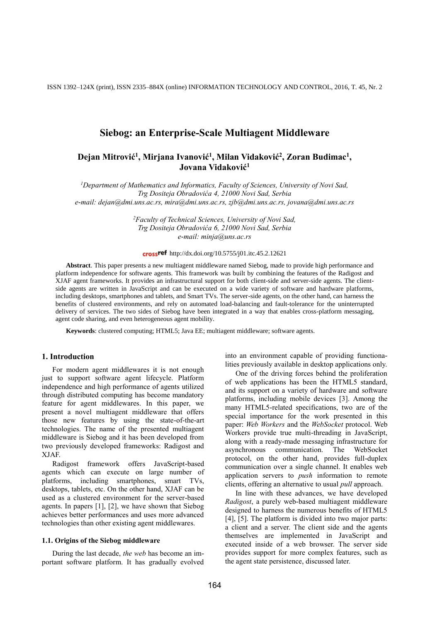ISSN 1392–124X (print), ISSN 2335–884X (online) INFORMATION TECHNOLOGY AND CONTROL, 2016, T. 45, Nr. 2

# **Siebog: an Enterprise-Scale Multiagent Middleware**

# Dejan Mitrović<sup>1</sup>, Mirjana Ivanović<sup>1</sup>, Milan Vidaković<sup>2</sup>, Zoran Budimac<sup>1</sup>, **Jovana Vidaković<sup>1</sup>**

*<sup>1</sup>Department of Mathematics and Informatics, Faculty of Sciences, University of Novi Sad, Trg Dositeja Obradovića 4, 21000 Novi Sad, Serbia e-mail: dejan@dmi.uns.ac.rs, mira@dmi.uns.ac.rs, zjb@dmi.uns.ac.rs, jovana@dmi.uns.ac.rs*

> *<sup>2</sup>Faculty of Technical Sciences, University of Novi Sad, Trg Dositeja Obradovića 6, 21000 Novi Sad, Serbia e-mail: minja@uns.ac.rs*

#### crossref http://dx.doi.org/10.5755/j01.itc.45.2.12621

**Abstract**. This paper presents a new multiagent middleware named Siebog, made to provide high performance and platform independence for software agents. This framework was built by combining the features of the Radigost and XJAF agent frameworks. It provides an infrastructural support for both client-side and server-side agents. The clientside agents are written in JavaScript and can be executed on a wide variety of software and hardware platforms, including desktops, smartphones and tablets, and Smart TVs. The server-side agents, on the other hand, can harness the benefits of clustered environments, and rely on automated load-balancing and fault-tolerance for the uninterrupted delivery of services. The two sides of Siebog have been integrated in a way that enables cross-platform messaging, agent code sharing, and even heterogeneous agent mobility.

**Keywords**: clustered computing; HTML5; Java EE; multiagent middleware; software agents.

## **1. Introduction**

For modern agent middlewares it is not enough just to support software agent lifecycle. Platform independence and high performance of agents utilized through distributed computing has become mandatory feature for agent middlewares. In this paper, we present a novel multiagent middleware that offers those new features by using the state-of-the-art technologies. The name of the presented multiagent middleware is Siebog and it has been developed from two previously developed frameworks: Radigost and XJAF.

Radigost framework offers JavaScript-based agents which can execute on large number of platforms, including smartphones, smart TVs, desktops, tablets, etc. On the other hand, XJAF can be used as a clustered environment for the server-based agents. In papers [\[1\],](#page-8-0) [\[2\],](#page-8-1) we have shown that Siebog achieves better performances and uses more advanced technologies than other existing agent middlewares.

#### **1.1. Origins of the Siebog middleware**

During the last decade, *the web* has become an important software platform. It has gradually evolved

into an environment capable of providing functionalities previously available in desktop applications only.

One of the driving forces behind the proliferation of web applications has been the HTML5 standard, and its support on a variety of hardware and software platforms, including mobile devices [\[3\].](#page-9-0) Among the many HTML5-related specifications, two are of the special importance for the work presented in this paper: *Web Workers* and the *WebSocket* protocol. Web Workers provide true multi-threading in JavaScript, along with a ready-made messaging infrastructure for asynchronous communication. The WebSocket protocol, on the other hand, provides full-duplex communication over a single channel. It enables web application servers to *push* information to remote clients, offering an alternative to usual *pull* approach.

In line with these advances, we have developed *Radigost*, a purely web-based multiagent middleware designed to harness the numerous benefits of HTML5 [\[4\],](#page-9-1) [\[5\].](#page-9-2) The platform is divided into two major parts: a client and a server. The client side and the agents themselves are implemented in JavaScript and executed inside of a web browser. The server side provides support for more complex features, such as the agent state persistence, discussed later.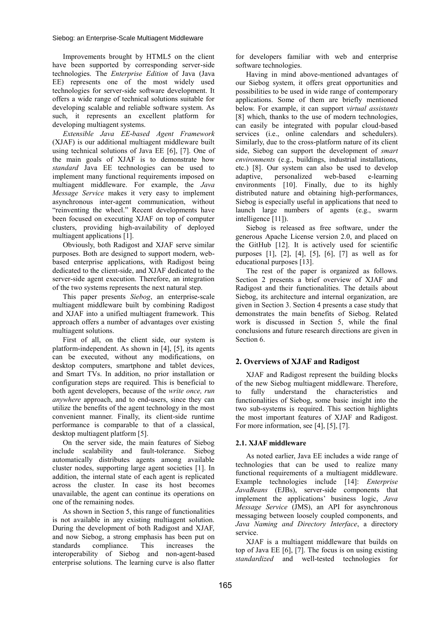Improvements brought by HTML5 on the client have been supported by corresponding server-side technologies. The *Enterprise Edition* of Java (Java EE) represents one of the most widely used technologies for server-side software development. It offers a wide range of technical solutions suitable for developing scalable and reliable software system. As such, it represents an excellent platform for developing multiagent systems.

*Extensible Java EE-based Agent Framework* (XJAF) is our additional multiagent middleware built using technical solutions of Java EE [\[6\],](#page-9-3) [\[7\].](#page-9-4) One of the main goals of XJAF is to demonstrate how *standard* Java EE technologies can be used to implement many functional requirements imposed on multiagent middleware. For example, the *Java Message Service* makes it very easy to implement asynchronous inter-agent communication, without "reinventing the wheel." Recent developments have been focused on executing XJAF on top of computer clusters, providing high-availability of deployed multiagent applications [\[1\].](#page-8-0)

Obviously, both Radigost and XJAF serve similar purposes. Both are designed to support modern, webbased enterprise applications, with Radigost being dedicated to the client-side, and XJAF dedicated to the server-side agent execution. Therefore, an integration of the two systems represents the next natural step.

This paper presents *Siebog*, an enterprise-scale multiagent middleware built by combining Radigost and XJAF into a unified multiagent framework. This approach offers a number of advantages over existing multiagent solutions.

First of all, on the client side, our system is platform-independent. As shown in [\[4\],](#page-9-1) [\[5\],](#page-9-2) its agents can be executed, without any modifications, on desktop computers, smartphone and tablet devices, and Smart TVs. In addition, no prior installation or configuration steps are required. This is beneficial to both agent developers, because of the *write once, run anywhere* approach, and to end-users, since they can utilize the benefits of the agent technology in the most convenient manner. Finally, its client-side runtime performance is comparable to that of a classical, desktop multiagent platfor[m \[5\].](#page-9-2)

On the server side, the main features of Siebog include scalability and fault-tolerance. Siebog automatically distributes agents among available cluster nodes, supporting large agent societies [\[1\].](#page-8-0) In addition, the internal state of each agent is replicated across the cluster. In case its host becomes unavailable, the agent can continue its operations on one of the remaining nodes.

As shown in Section 5, this range of functionalities is not available in any existing multiagent solution. During the development of both Radigost and XJAF, and now Siebog, a strong emphasis has been put on standards compliance. This increases the interoperability of Siebog and non-agent-based enterprise solutions. The learning curve is also flatter

for developers familiar with web and enterprise software technologies.

Having in mind above-mentioned advantages of our Siebog system, it offers great opportunities and possibilities to be used in wide range of contemporary applications. Some of them are briefly mentioned below. For example, it can support *virtual assistants* [\[8\]](#page-9-5) which, thanks to the use of modern technologies, can easily be integrated with popular cloud-based services (i.e., online calendars and schedulers). Similarly, due to the cross-platform nature of its client side, Siebog can support the development of *smart environments* (e.g., buildings, industrial installations, etc.) [\[8\].](#page-9-6) Our system can also be used to develop adaptive, personalized web-based e-learning environments [\[10\].](#page-9-7) Finally, due to its highly distributed nature and obtaining high-performances, Siebog is especially useful in applications that need to launch large numbers of agents (e.g., swarm intelligence [\[11\]\)](#page-9-8).

Siebog is released as free software, under the generous Apache License version 2.0, and placed on the GitHub [\[12\].](#page-9-9) It is actively used for scientific purposes [\[1\],](#page-8-0) [\[2\],](#page-8-1) [\[4\],](#page-9-1) [\[5\],](#page-9-2) [\[6\],](#page-9-3) [\[7\]](#page-9-4) as well as for educational purposes [\[13\].](#page-9-10)

The rest of the paper is organized as follows. Section 2 presents a brief overview of XJAF and Radigost and their functionalities. The details about Siebog, its architecture and internal organization, are given in Section 3. Section 4 presents a case study that demonstrates the main benefits of Siebog. Related work is discussed in Section 5, while the final conclusions and future research directions are given in Section 6.

# **2. Overviews of XJAF and Radigost**

XJAF and Radigost represent the building blocks of the new Siebog multiagent middleware. Therefore, to fully understand the characteristics and functionalities of Siebog, some basic insight into the two sub-systems is required. This section highlights the most important features of XJAF and Radigost. For more information, see [\[4\],](#page-9-1) [\[5\],](#page-9-2) [\[7\].](#page-9-4)

## **2.1. XJAF middleware**

As noted earlier, Java EE includes a wide range of technologies that can be used to realize many functional requirements of a multiagent middleware. Example technologies include [\[14\]:](#page-9-11) *Enterprise JavaBeans* (EJBs), server-side components that implement the applications' business logic, *Java Message Service* (JMS), an API for asynchronous messaging between loosely coupled components, and *Java Naming and Directory Interface*, a directory service.

XJAF is a multiagent middleware that builds on top of Java EE [\[6\],](#page-9-3) [\[7\].](#page-9-4) The focus is on using existing *standardized* and well-tested technologies for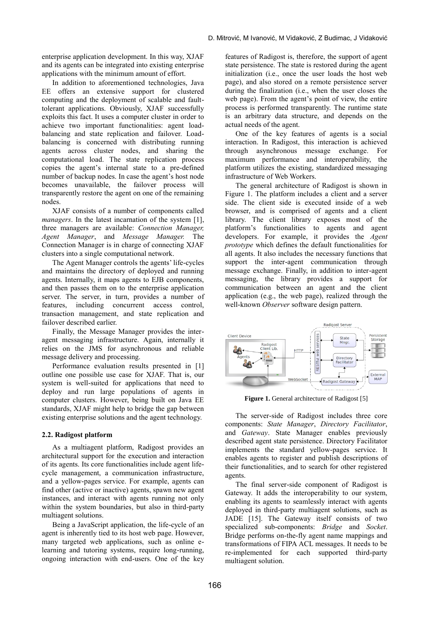enterprise application development. In this way, XJAF and its agents can be integrated into existing enterprise applications with the minimum amount of effort.

In addition to aforementioned technologies, Java EE offers an extensive support for clustered computing and the deployment of scalable and faulttolerant applications. Obviously, XJAF successfully exploits this fact. It uses a computer cluster in order to achieve two important functionalities: agent loadbalancing and state replication and failover. Loadbalancing is concerned with distributing running agents across cluster nodes, and sharing the computational load. The state replication process copies the agent's internal state to a pre-defined number of backup nodes. In case the agent's host node becomes unavailable, the failover process will transparently restore the agent on one of the remaining nodes.

XJAF consists of a number of components called *managers*. In the latest incarnation of the system [\[1\],](#page-8-0) three managers are available: *Connection Manager, Agent Manager*, and *Message Manager.* The Connection Manager is in charge of connecting XJAF clusters into a single computational network.

The Agent Manager controls the agents' life-cycles and maintains the directory of deployed and running agents. Internally, it maps agents to EJB components, and then passes them on to the enterprise application server. The server, in turn, provides a number of features, including concurrent access control, transaction management, and state replication and failover described earlier.

Finally, the Message Manager provides the interagent messaging infrastructure. Again, internally it relies on the JMS for asynchronous and reliable message delivery and processing.

Performance evaluation results presented in [\[1\]](#page-8-0) outline one possible use case for XJAF. That is, our system is well-suited for applications that need to deploy and run large populations of agents in computer clusters. However, being built on Java EE standards, XJAF might help to bridge the gap between existing enterprise solutions and the agent technology.

#### **2.2. Radigost platform**

As a multiagent platform, Radigost provides an architectural support for the execution and interaction of its agents. Its core functionalities include agent lifecycle management, a communication infrastructure, and a yellow-pages service. For example, agents can find other (active or inactive) agents, spawn new agent instances, and interact with agents running not only within the system boundaries, but also in third-party multiagent solutions.

Being a JavaScript application, the life-cycle of an agent is inherently tied to its host web page. However, many targeted web applications, such as online elearning and tutoring systems, require long-running, ongoing interaction with end-users. One of the key

features of Radigost is, therefore, the support of agent state persistence. The state is restored during the agent initialization (i.e., once the user loads the host web page), and also stored on a remote persistence server during the finalization (i.e., when the user closes the web page). From the agent's point of view, the entire process is performed transparently. The runtime state is an arbitrary data structure, and depends on the actual needs of the agent.

One of the key features of agents is a social interaction. In Radigost, this interaction is achieved through asynchronous message exchange. For maximum performance and interoperability, the platform utilizes the existing, standardized messaging infrastructure of Web Workers.

The general architecture of Radigost is shown in [Figure 1.](#page-2-0) The platform includes a client and a server side. The client side is executed inside of a web browser, and is comprised of agents and a client library. The client library exposes most of the platform's functionalities to agents and agent developers. For example, it provides the *Agent prototype* which defines the default functionalities for all agents. It also includes the necessary functions that support the inter-agent communication through message exchange. Finally, in addition to inter-agent messaging, the library provides a support for communication between an agent and the client application (e.g., the web page), realized through the well-known *Observer* software design pattern.



**Figure 1.** General architecture of Radigos[t \[5\]](#page-9-2)

<span id="page-2-0"></span>The server-side of Radigost includes three core components: *State Manager*, *Directory Facilitator*, and *Gateway*. State Manager enables previously described agent state persistence. Directory Facilitator implements the standard yellow-pages service. It enables agents to register and publish descriptions of their functionalities, and to search for other registered agents.

The final server-side component of Radigost is Gateway. It adds the interoperability to our system, enabling its agents to seamlessly interact with agents deployed in third-party multiagent solutions, such as JADE [\[15\].](#page-9-12) The Gateway itself consists of two specialized sub-components: *Bridge* and *Socket*. Bridge performs on-the-fly agent name mappings and transformations of FIPA ACL messages. It needs to be re-implemented for each supported third-party multiagent solution.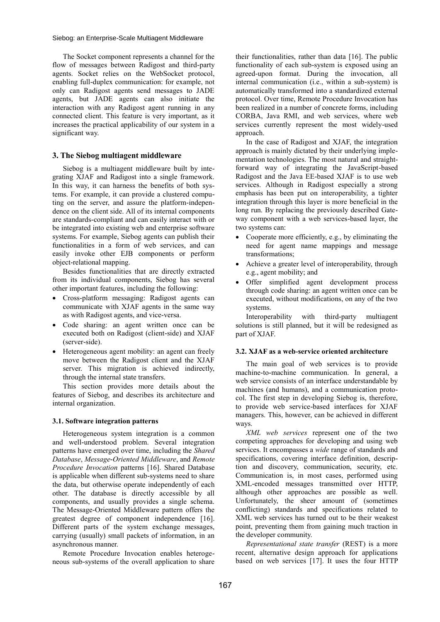The Socket component represents a channel for the flow of messages between Radigost and third-party agents. Socket relies on the WebSocket protocol, enabling full-duplex communication: for example, not only can Radigost agents send messages to JADE agents, but JADE agents can also initiate the interaction with any Radigost agent running in any connected client. This feature is very important, as it increases the practical applicability of our system in a significant way.

### **3. The Siebog multiagent middleware**

Siebog is a multiagent middleware built by integrating XJAF and Radigost into a single framework. In this way, it can harness the benefits of both systems. For example, it can provide a clustered computing on the server, and assure the platform-independence on the client side. All of its internal components are standards-compliant and can easily interact with or be integrated into existing web and enterprise software systems. For example, Siebog agents can publish their functionalities in a form of web services, and can easily invoke other EJB components or perform object-relational mapping.

Besides functionalities that are directly extracted from its individual components, Siebog has several other important features, including the following:

- Cross-platform messaging: Radigost agents can communicate with XJAF agents in the same way as with Radigost agents, and vice-versa.
- Code sharing: an agent written once can be executed both on Radigost (client-side) and XJAF (server-side).
- Heterogeneous agent mobility: an agent can freely move between the Radigost client and the XJAF server. This migration is achieved indirectly, through the internal state transfers.

This section provides more details about the features of Siebog, and describes its architecture and internal organization.

#### **3.1. Software integration patterns**

Heterogeneous system integration is a common and well-understood problem. Several integration patterns have emerged over time, including the *Shared Database*, *Message-Oriented Middleware*, and *Remote Procedure Invocation* patterns [\[16\].](#page-9-13) Shared Database is applicable when different sub-systems need to share the data, but otherwise operate independently of each other. The database is directly accessible by all components, and usually provides a single schema. The Message-Oriented Middleware pattern offers the greatest degree of component independence [\[16\].](#page-9-13) Different parts of the system exchange messages, carrying (usually) small packets of information, in an asynchronous manner.

Remote Procedure Invocation enables heterogeneous sub-systems of the overall application to share

their functionalities, rather than data [\[16\].](#page-9-13) The public functionality of each sub-system is exposed using an agreed-upon format. During the invocation, all internal communication (i.e., within a sub-system) is automatically transformed into a standardized external protocol. Over time, Remote Procedure Invocation has been realized in a number of concrete forms, including CORBA, Java RMI, and web services, where web services currently represent the most widely-used approach.

In the case of Radigost and XJAF, the integration approach is mainly dictated by their underlying implementation technologies. The most natural and straightforward way of integrating the JavaScript-based Radigost and the Java EE-based XJAF is to use web services. Although in Radigost especially a strong emphasis has been put on interoperability, a tighter integration through this layer is more beneficial in the long run. By replacing the previously described Gateway component with a web services-based layer, the two systems can:

- Cooperate more efficiently, e.g., by eliminating the need for agent name mappings and message transformations;
- Achieve a greater level of interoperability, through e.g., agent mobility; and
- Offer simplified agent development process through code sharing: an agent written once can be executed, without modifications, on any of the two systems.

Interoperability with third-party multiagent solutions is still planned, but it will be redesigned as part of XJAF.

### **3.2. XJAF as a web-service oriented architecture**

The main goal of web services is to provide machine-to-machine communication. In general, a web service consists of an interface understandable by machines (and humans), and a communication protocol. The first step in developing Siebog is, therefore, to provide web service-based interfaces for XJAF managers. This, however, can be achieved in different ways.

*XML web services* represent one of the two competing approaches for developing and using web services. It encompasses a *wide* range of standards and specifications, covering interface definition, description and discovery, communication, security, etc. Communication is, in most cases, performed using XML-encoded messages transmitted over HTTP, although other approaches are possible as well. Unfortunately, the sheer amount of (sometimes conflicting) standards and specifications related to XML web services has turned out to be their weakest point, preventing them from gaining much traction in the developer community.

*Representational state transfer* (REST) is a more recent, alternative design approach for applications based on web services [\[17\].](#page-9-14) It uses the four HTTP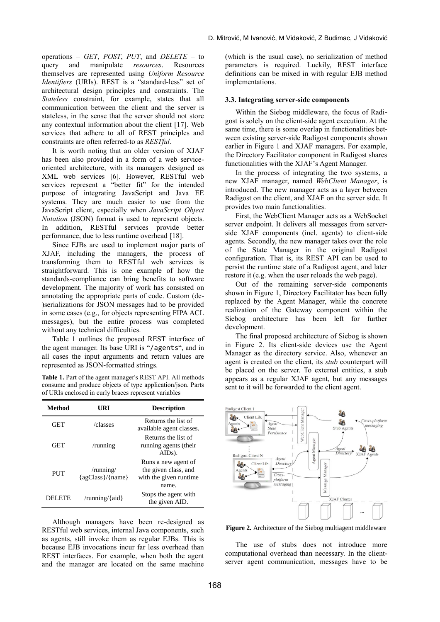operations – *GET*, *POST*, *PUT*, and *DELETE* – to query and manipulate *resources*. Resources themselves are represented using *Uniform Resource Identifiers* (URIs). REST is a "standard-less" set of architectural design principles and constraints. The *Stateless* constraint, for example, states that all communication between the client and the server is stateless, in the sense that the server should not store any contextual information about the client [\[17\].](#page-9-14) Web services that adhere to all of REST principles and constraints are often referred-to as *RESTful*.

It is worth noting that an older version of XJAF has been also provided in a form of a web serviceoriented architecture, with its managers designed as XML web services [\[6\].](#page-9-3) However, RESTful web services represent a "better fit" for the intended purpose of integrating JavaScript and Java EE systems. They are much easier to use from the JavaScript client, especially when *JavaScript Object Notation* (JSON) format is used to represent objects. In addition, RESTful services provide better performance, due to less runtime overhead [\[18\].](#page-9-15)

Since EJBs are used to implement major parts of XJAF, including the managers, the process of transforming them to RESTful web services is straightforward. This is one example of how the standards-compliance can bring benefits to software development. The majority of work has consisted on annotating the appropriate parts of code. Custom (de- )serializations for JSON messages had to be provided in some cases (e.g., for objects representing FIPA ACL messages), but the entire process was completed without any technical difficulties.

[Table 1](#page-4-0) outlines the proposed REST interface of the agent manager. Its base URI is "/agents", and in all cases the input arguments and return values are represented as JSON-formatted strings.

<span id="page-4-0"></span>**Table 1.** Part of the agent manager's REST API. All methods consume and produce objects of type application/json. Parts of URIs enclosed in curly braces represent variables

| Method   | URI                                 | <b>Description</b>                                                             |
|----------|-------------------------------------|--------------------------------------------------------------------------------|
| GET      | /classes                            | Returns the list of<br>available agent classes.                                |
| GET      | /running                            | Returns the list of<br>running agents (their<br>AID <sub>s</sub> ).            |
| PUT      | $/$ running $/$<br>{agClass}/{name} | Runs a new agent of<br>the given class, and<br>with the given runtime<br>name. |
| DEL FTE. | /running/ $\{aid\}$                 | Stops the agent with<br>the given AID.                                         |

Although managers have been re-designed as RESTful web services, internal Java components, such as agents, still invoke them as regular EJBs. This is because EJB invocations incur far less overhead than REST interfaces. For example, when both the agent and the manager are located on the same machine

(which is the usual case), no serialization of method parameters is required. Luckily, REST interface definitions can be mixed in with regular EJB method implementations.

#### **3.3. Integrating server-side components**

Within the Siebog middleware, the focus of Radigost is solely on the client-side agent execution. At the same time, there is some overlap in functionalities between existing server-side Radigost components shown earlier in [Figure 1](#page-2-0) and XJAF managers. For example, the Directory Facilitator component in Radigost shares functionalities with the XJAF's Agent Manager.

In the process of integrating the two systems, a new XJAF manager, named *WebClient Manager*, is introduced. The new manager acts as a layer between Radigost on the client, and XJAF on the server side. It provides two main functionalities.

First, the WebClient Manager acts as a WebSocket server endpoint. It delivers all messages from serverside XJAF components (incl. agents) to client-side agents. Secondly, the new manager takes over the role of the State Manager in the original Radigost configuration. That is, its REST API can be used to persist the runtime state of a Radigost agent, and later restore it (e.g. when the user reloads the web page).

Out of the remaining server-side components shown in [Figure 1,](#page-2-0) Directory Facilitator has been fully replaced by the Agent Manager, while the concrete realization of the Gateway component within the Siebog architecture has been left for further development.

The final proposed architecture of Siebog is shown in [Figure](#page-4-1) 2. Its client-side devices use the Agent Manager as the directory service. Also, whenever an agent is created on the client, its *stub* counterpart will be placed on the server. To external entities, a stub appears as a regular XJAF agent, but any messages sent to it will be forwarded to the client agent.



<span id="page-4-1"></span>**Figure 2.** Architecture of the Siebog multiagent middleware

The use of stubs does not introduce more computational overhead than necessary. In the clientserver agent communication, messages have to be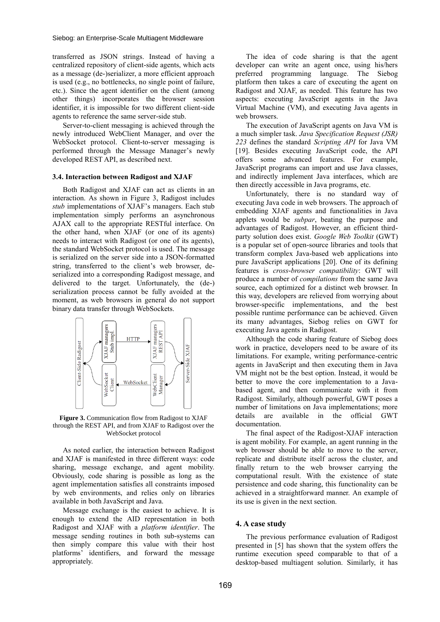transferred as JSON strings. Instead of having a centralized repository of client-side agents, which acts as a message (de-)serializer, a more efficient approach is used (e.g., no bottlenecks, no single point of failure, etc.). Since the agent identifier on the client (among other things) incorporates the browser session identifier, it is impossible for two different client-side agents to reference the same server-side stub.

Server-to-client messaging is achieved through the newly introduced WebClient Manager, and over the WebSocket protocol. Client-to-server messaging is performed through the Message Manager's newly developed REST API, as described next.

#### **3.4. Interaction between Radigost and XJAF**

Both Radigost and XJAF can act as clients in an interaction. As shown in [Figure 3,](#page-5-0) Radigost includes *stub* implementations of XJAF's managers. Each stub implementation simply performs an asynchronous AJAX call to the appropriate RESTful interface. On the other hand, when XJAF (or one of its agents) needs to interact with Radigost (or one of its agents), the standard WebSocket protocol is used. The message is serialized on the server side into a JSON-formatted string, transferred to the client's web browser, deserialized into a corresponding Radigost message, and delivered to the target. Unfortunately, the (de-) serialization process cannot be fully avoided at the moment, as web browsers in general do not support binary data transfer through WebSockets.



<span id="page-5-0"></span>**Figure 3.** Communication flow from Radigost to XJAF through the REST API, and from XJAF to Radigost over the WebSocket protocol

As noted earlier, the interaction between Radigost and XJAF is manifested in three different ways: code sharing, message exchange, and agent mobility. Obviously, code sharing is possible as long as the agent implementation satisfies all constraints imposed by web environments, and relies only on libraries available in both JavaScript and Java.

Message exchange is the easiest to achieve. It is enough to extend the AID representation in both Radigost and XJAF with a *platform identifier*. The message sending routines in both sub-systems can then simply compare this value with their host platforms' identifiers, and forward the message appropriately.

The idea of code sharing is that the agent developer can write an agent once, using his/hers preferred programming language. The Siebog platform then takes a care of executing the agent on Radigost and XJAF, as needed. This feature has two aspects: executing JavaScript agents in the Java Virtual Machine (VM), and executing Java agents in web browsers.

The execution of JavaScript agents on Java VM is a much simpler task. *Java Specification Request (JSR) 223* defines the standard *Scripting API* for Java VM [\[19\].](#page-9-16) Besides executing JavaScript code, the API offers some advanced features. For example, JavaScript programs can import and use Java classes, and indirectly implement Java interfaces, which are then directly accessible in Java programs, etc.

Unfortunately, there is no standard way of executing Java code in web browsers. The approach of embedding XJAF agents and functionalities in Java applets would be *subpar*, beating the purpose and advantages of Radigost. However, an efficient thirdparty solution does exist. *Google Web Toolkit* (GWT) is a popular set of open-source libraries and tools that transform complex Java-based web applications into pure JavaScript applications [\[20\].](#page-9-17) One of its defining features is *cross-browser compatibility*: GWT will produce a number of *compilations* from the same Java source, each optimized for a distinct web browser. In this way, developers are relieved from worrying about browser-specific implementations, and the best possible runtime performance can be achieved. Given its many advantages, Siebog relies on GWT for executing Java agents in Radigost.

Although the code sharing feature of Siebog does work in practice, developers need to be aware of its limitations. For example, writing performance-centric agents in JavaScript and then executing them in Java VM might not be the best option. Instead, it would be better to move the core implementation to a Javabased agent, and then communicate with it from Radigost. Similarly, although powerful, GWT poses a number of limitations on Java implementations; more<br>details are available in the official GWT details are available in the documentation.

The final aspect of the Radigost-XJAF interaction is agent mobility. For example, an agent running in the web browser should be able to move to the server, replicate and distribute itself across the cluster, and finally return to the web browser carrying the computational result. With the existence of state persistence and code sharing, this functionality can be achieved in a straightforward manner. An example of its use is given in the next section.

#### **4. A case study**

The previous performance evaluation of Radigost presented in [\[5\]](#page-9-2) has shown that the system offers the runtime execution speed comparable to that of a desktop-based multiagent solution. Similarly, it has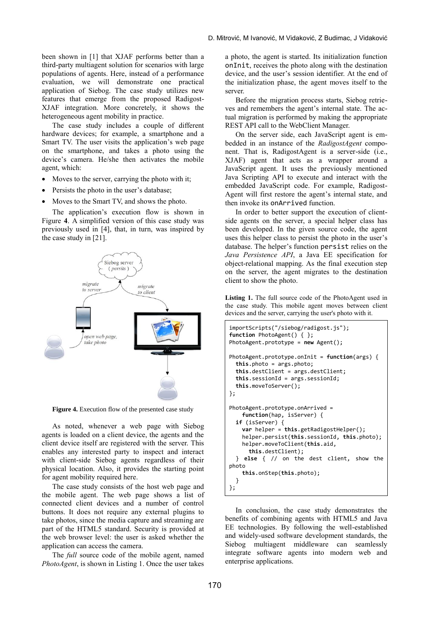been shown in [\[1\]](#page-8-0) that XJAF performs better than a third-party multiagent solution for scenarios with large populations of agents. Here, instead of a performance evaluation, we will demonstrate one practical application of Siebog. The case study utilizes new features that emerge from the proposed Radigost-XJAF integration. More concretely, it shows the heterogeneous agent mobility in practice.

The case study includes a couple of different hardware devices; for example, a smartphone and a Smart TV. The user visits the application's web page on the smartphone, and takes a photo using the device's camera. He/she then activates the mobile agent, which:

- Moves to the server, carrying the photo with it;
- Persists the photo in the user's database;
- Moves to the Smart TV, and shows the photo.

The application's execution flow is shown in [Figure](#page-6-0) **4**. A simplified version of this case study was previously used in [\[4\],](#page-9-1) that, in turn, was inspired by the case study in [\[21\].](#page-9-18)



<span id="page-6-0"></span>**Figure 4.** Execution flow of the presented case study

As noted, whenever a web page with Siebog agents is loaded on a client device, the agents and the client device itself are registered with the server. This enables any interested party to inspect and interact with client-side Siebog agents regardless of their physical location. Also, it provides the starting point for agent mobility required here.

The case study consists of the host web page and the mobile agent. The web page shows a list of connected client devices and a number of control buttons. It does not require any external plugins to take photos, since the media capture and streaming are part of the HTML5 standard. Security is provided at the web browser level: the user is asked whether the application can access the camera.

The *full* source code of the mobile agent, named *PhotoAgent*, is shown in [Listing 1.](#page-6-1) Once the user takes a photo, the agent is started. Its initialization function onInit, receives the photo along with the destination device, and the user's session identifier. At the end of the initialization phase, the agent moves itself to the server.

Before the migration process starts, Siebog retrieves and remembers the agent's internal state. The actual migration is performed by making the appropriate REST API call to the WebClient Manager.

On the server side, each JavaScript agent is embedded in an instance of the *RadigostAgent* component. That is, RadigostAgent is a server-side (i.e., XJAF) agent that acts as a wrapper around a JavaScript agent. It uses the previously mentioned Java Scripting API to execute and interact with the embedded JavaScript code. For example, Radigost-Agent will first restore the agent's internal state, and then invoke its onArrived function.

In order to better support the execution of clientside agents on the server, a special helper class has been developed. In the given source code, the agent uses this helper class to persist the photo in the user's database. The helper's function persist relies on the *Java Persistence API*, a Java EE specification for object-relational mapping. As the final execution step on the server, the agent migrates to the destination client to show the photo.

<span id="page-6-1"></span>Listing 1. The full source code of the PhotoAgent used in the case study. This mobile agent moves between client devices and the server, carrying the user's photo with it.

```
importScripts("/siebog/radigost.js");
function PhotoAgent() { };
PhotoAgent.prototype = new Agent();
PhotoAgent.prototype.onInit = function(args) {
  this.photo = args.photo;
   this.destClient = args.destClient;
   this.sessionId = args.sessionId;
   this.moveToServer();
};
PhotoAgent.prototype.onArrived = 
     function(hap, isServer) {
   if (isServer) { 
     var helper = this.getRadigostHelper();
     helper.persist(this.sessionId, this.photo);
     helper.moveToClient(this.aid,
       this.destClient);
   } else { // on the dest client, show the 
photo
    this.onStep(this.photo);
  }
};
```
In conclusion, the case study demonstrates the benefits of combining agents with HTML5 and Java EE technologies. By following the well-established and widely-used software development standards, the Siebog multiagent middleware can seamlessly integrate software agents into modern web and enterprise applications.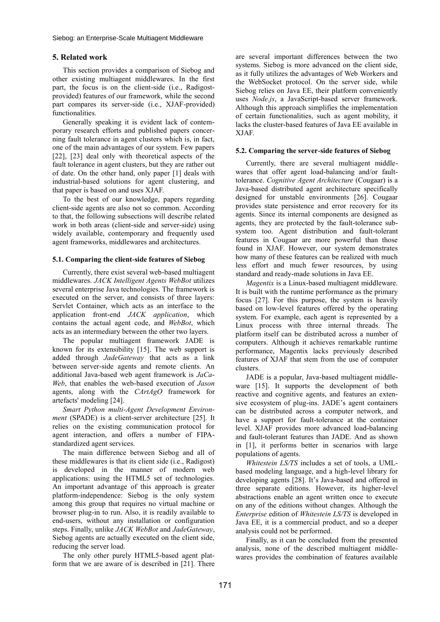## **5. Related work**

This section provides a comparison of Siebog and other existing multiagent middlewares. In the first part, the focus is on the client-side (i.e., Radigostprovided) features of our framework, while the second part compares its server-side (i.e., XJAF-provided) functionalities.

Generally speaking it is evident lack of contemporary research efforts and published papers concerning fault tolerance in agent clusters which is, in fact, one of the main advantages of our system. Few papers [\[22\],](#page-9-19) [\[23\]](#page-9-20) deal only with theoretical aspects of the fault tolerance in agent clusters, but they are rather out of date. On the other hand, only paper [\[1\]](#page-8-0) deals with industrial-based solutions for agent clustering, and that paper is based on and uses XJAF.

To the best of our knowledge, papers regarding client-side agents are also not so common. According to that, the following subsections will describe related work in both areas (client-side and server-side) using widely available, contemporary and frequently used agent frameworks, middlewares and architectures.

## **5.1. Comparing the client-side features of Siebog**

Currently, there exist several web-based multiagent middlewares. *JACK Intelligent Agents WebBot* utilizes several enterprise Java technologies. The framework is executed on the server, and consists of three layers: Servlet Container, which acts as an interface to the application front-end *JACK application*, which contains the actual agent code, and *WebBot*, which acts as an intermediary between the other two layers.

The popular multiagent framework JADE is known for its extensibility [\[15\].](#page-9-12) The web support is added through *JadeGateway* that acts as a link between server-side agents and remote clients. An additional Java-based web agent framework is *JaCa-Web*, that enables the web-based execution of *Jason* agents, along with the *CArtAgO* framework for artefacts' modeling [\[24\].](#page-9-21)

*Smart Python multi-Agent Development Environment* (SPADE) is a client-server architecture [\[25\].](#page-9-22) It relies on the existing communication protocol for agent interaction, and offers a number of FIPAstandardized agent services.

The main difference between Siebog and all of these middlewares is that its client side (i.e., Radigost) is developed in the manner of modern web applications: using the HTML5 set of technologies. An important advantage of this approach is greater platform-independence: Siebog is the only system among this group that requires no virtual machine or browser plug-in to run. Also, it is readily available to end-users, without any installation or configuration steps. Finally, unlike *JACK WebBot* and *JadeGateway*, Siebog agents are actually executed on the client side, reducing the server load.

The only other purely HTML5-based agent platform that we are aware of is described in [\[21\].](#page-9-18) There are several important differences between the two systems. Siebog is more advanced on the client side, as it fully utilizes the advantages of Web Workers and the WebSocket protocol. On the server side, while Siebog relies on Java EE, their platform conveniently uses *Node.js*, a JavaScript-based server framework. Although this approach simplifies the implementation of certain functionalities, such as agent mobility, it lacks the cluster-based features of Java EE available in XJAF.

## **5.2. Comparing the server-side features of Siebog**

Currently, there are several multiagent middlewares that offer agent load-balancing and/or faulttolerance. *Cognitive Agent Architecture* (Cougaar) is a Java-based distributed agent architecture specifically designed for unstable environments [\[26\].](#page-9-23) Cougaar provides state persistence and error recovery for its agents. Since its internal components are designed as agents, they are protected by the fault-tolerance subsystem too. Agent distribution and fault-tolerant features in Cougaar are more powerful than those found in XJAF. However, our system demonstrates how many of these features can be realized with much less effort and much fewer resources, by using standard and ready-made solutions in Java EE.

*Magentix* is a Linux-based multiagent middleware. It is built with the runtime performance as the primary focus [\[27\].](#page-9-24) For this purpose, the system is heavily based on low-level features offered by the operating system. For example, each agent is represented by a Linux process with three internal threads. The platform itself can be distributed across a number of computers. Although it achieves remarkable runtime performance, Magentix lacks previously described features of XJAF that stem from the use of computer clusters.

JADE is a popular, Java-based multiagent middleware [\[15\].](#page-9-12) It supports the development of both reactive and cognitive agents, and features an extensive ecosystem of plug-ins. JADE's agent containers can be distributed across a computer network, and have a support for fault-tolerance at the container level. XJAF provides more advanced load-balancing and fault-tolerant features than JADE. And as shown in [\[1\],](#page-8-0) it performs better in scenarios with large populations of agents.

*Whitestein LS/TS* includes a set of tools, a UMLbased modeling language, and a high-level library for developing agents [\[28\].](#page-9-25) It's Java-based and offered in three separate editions. However, its higher-level abstractions enable an agent written once to execute on any of the editions without changes. Although the *Enterprise* edition of *Whitestein LS/TS* is developed in Java EE, it is a commercial product, and so a deeper analysis could not be performed.

Finally, as it can be concluded from the presented analysis, none of the described multiagent middlewares provides the combination of features available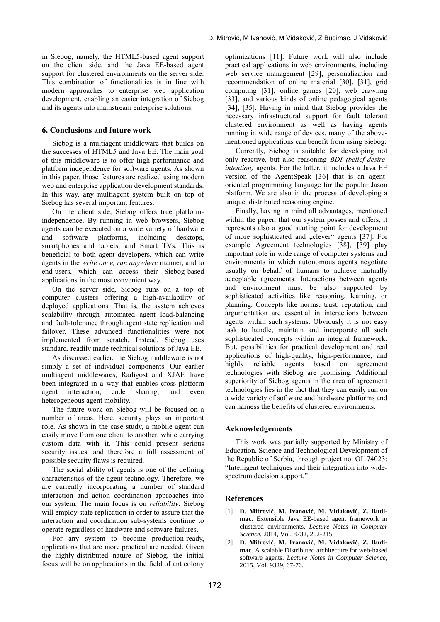in Siebog, namely, the HTML5-based agent support on the client side, and the Java EE-based agent support for clustered environments on the server side. This combination of functionalities is in line with modern approaches to enterprise web application development, enabling an easier integration of Siebog and its agents into mainstream enterprise solutions.

#### **6. Conclusions and future work**

Siebog is a multiagent middleware that builds on the successes of HTML5 and Java EE. The main goal of this middleware is to offer high performance and platform independence for software agents. As shown in this paper, those features are realized using modern web and enterprise application development standards. In this way, any multiagent system built on top of Siebog has several important features.

On the client side, Siebog offers true platformindependence. By running in web browsers, Siebog agents can be executed on a wide variety of hardware and software platforms, including desktops, smartphones and tablets, and Smart TVs. This is beneficial to both agent developers, which can write agents in the *write once, run anywhere* manner, and to end-users, which can access their Siebog-based applications in the most convenient way.

On the server side, Siebog runs on a top of computer clusters offering a high-availability of deployed applications. That is, the system achieves scalability through automated agent load-balancing and fault-tolerance through agent state replication and failover. These advanced functionalities were not implemented from scratch. Instead, Siebog uses standard, readily made technical solutions of Java EE.

As discussed earlier, the Siebog middleware is not simply a set of individual components. Our earlier multiagent middlewares, Radigost and XJAF, have been integrated in a way that enables cross-platform agent interaction, code sharing, and even heterogeneous agent mobility.

The future work on Siebog will be focused on a number of areas. Here, security plays an important role. As shown in the case study, a mobile agent can easily move from one client to another, while carrying custom data with it. This could present serious security issues, and therefore a full assessment of possible security flaws is required.

The social ability of agents is one of the defining characteristics of the agent technology. Therefore, we are currently incorporating a number of standard interaction and action coordination approaches into our system. The main focus is on *reliability*: Siebog will employ state replication in order to assure that the interaction and coordination sub-systems continue to operate regardless of hardware and software failures.

For any system to become production-ready, applications that are more practical are needed. Given the highly-distributed nature of Siebog, the initial focus will be on applications in the field of ant colony optimizations [\[11\].](#page-9-8) Future work will also include practical applications in web environments, including web service management [\[29\],](#page-9-26) personalization and recommendation of online material [\[30\],](#page-9-27) [\[31\],](#page-9-28) grid computing [\[31\],](#page-9-29) online games [\[20\],](#page-9-17) web crawling [\[33\],](#page-9-30) and various kinds of online pedagogical agents [\[34\],](#page-9-31) [\[35\].](#page-10-0) Having in mind that Siebog provides the necessary infrastructural support for fault tolerant clustered environment as well as having agents running in wide range of devices, many of the abovementioned applications can benefit from using Siebog.

Currently, Siebog is suitable for developing not only reactive, but also reasoning *BDI (belief-desireintention)* agents. For the latter, it includes a Java EE version of the AgentSpeak [\[36\]](#page-10-1) that is an agentoriented programming language for the popular Jason platform. We are also in the process of developing a unique, distributed reasoning engine.

Finally, having in mind all advantages, mentioned within the paper, that our system posses and offers, it represents also a good starting point for development of more sophisticated and "clever" agents [\[37\].](#page-10-2) For example Agreement technologies [\[38\],](#page-10-3) [\[39\]](#page-10-4) play important role in wide range of computer systems and environments in which autonomous agents negotiate usually on behalf of humans to achieve mutually acceptable agreements. Interactions between agents and environment must be also supported by sophisticated activities like reasoning, learning, or planning. Concepts like norms, trust, reputation, and argumentation are essential in interactions between agents within such systems. Obviously it is not easy task to handle, maintain and incorporate all such sophisticated concepts within an integral framework. But, possibilities for practical development and real applications of high-quality, high-performance, and highly reliable agents based on agreement technologies with Siebog are promising. Additional superiority of Siebog agents in the area of agreement technologies lies in the fact that they can easily run on a wide variety of software and hardware platforms and can harness the benefits of clustered environments.

#### **Acknowledgements**

This work was partially supported by Ministry of Education, Science and Technological Development of the Republic of Serbia, through project no. OI174023: "Intelligent techniques and their integration into widespectrum decision support."

#### **References**

- <span id="page-8-0"></span>[1] **D. Mitrović, M. Ivanović, M. Vidaković, Z. Budimac**. Extensible Java EE-based agent framework in clustered environments. *Lecture Notes in Computer Science*, 2014, Vol. 8732, 202-215.
- <span id="page-8-1"></span>[2] **D. Mitrović, M. Ivanović, M. Vidaković, Z. Budimac**. A scalable Distributed architecture for web-based software agents. *Lecture Notes in Computer Science*, 2015, Vol. 9329, 67-76.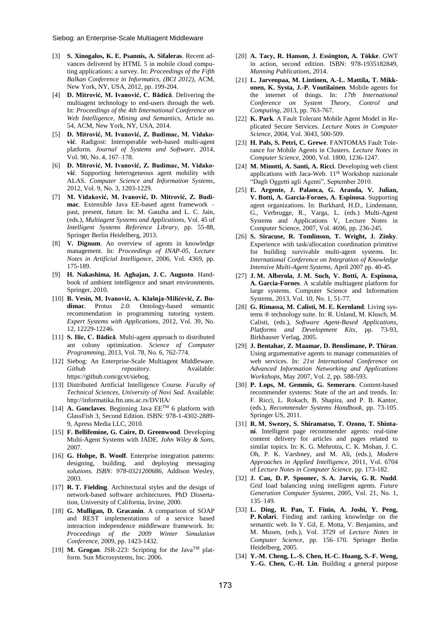- <span id="page-9-0"></span>[3] **S. Xinogalos, K. E. Psannis, A. Sifaleras**. Recent advances delivered by HTML 5 in mobile cloud computing applications: a survey. In: *Proceedings of the Fifth Balkan Conference in Informatics, (BCI 2012)*, ACM, New York, NY, USA, 2012, pp. 199-204.
- <span id="page-9-1"></span>[4] **D. Mitrović, M. Ivanović, C. Bădică**. Delivering the multiagent technology to end-users through the web. In: *Proceedings of the 4th International Conference on Web Intelligence, Mining and Semantics*, Article no. 54, ACM, New York, NY, USA, 2014.
- <span id="page-9-2"></span>[5] **D. Mitrović, M. Ivanović, Z. Budimac, M. Vidaković**. Radigost: Interoperable web-based multi-agent platform. *Journal of Systems and Software*, 2014, Vol. 90, No. 4, 167–178.
- <span id="page-9-3"></span>[6] **D. Mitrović, M. Ivanović, Z. Budimac, M. Vidaković**. Supporting heterogeneous agent mobility with ALAS. *Computer Science and Information Systems,* 2012, Vol. 9, No. 3, 1203-1229.
- <span id="page-9-4"></span>[7] **M. Vidaković, M. Ivanović, D. Mitrović, Z. Budimac**. Extensible Java EE-based agent framework – past, present, future. In: M. Ganzha and L. C. Jain, (eds.), *Multiagent Systems and Applications*, Vol. 45 of *Intelligent Systems Reference Library*, pp. 55-88, Springer Berlin Heidelberg, 2013.
- <span id="page-9-5"></span>[8] **V. Dignum**. An overview of agents in knowledge management. In: *Proceedings of INAP-05*, *Lecture Notes in Artificial Intelligence,* 2006, Vol. 4369, pp. 175-189.
- <span id="page-9-6"></span>[9] **H. Nakashima, H. Aghajan, J. C. Augusto**. Handbook of ambient intelligence and smart environments. Springer, 2010.
- <span id="page-9-7"></span>[10] **B. Vesin, M. Ivanović, A. Klašnja-Milićević, Z. Budimac**. Protus 2.0: Ontology-based semantic recommendation in programming tutoring system. *Expert Systems with Applications*, 2012, Vol. 39, No. 12, 12229-12246.
- <span id="page-9-8"></span>[11] **S. Ilie, C. Bădică**. Multi-agent approach to distributed ant colony optimization. *Science of Computer Programming*, 2013, Vol. 78, No. 6, 762-774.
- <span id="page-9-9"></span>[12] Siebog: An Enterprise-Scale Multiagent Middleware. *Github repository*. Available: https://github.com/gcvt/siebog.
- <span id="page-9-10"></span>[13] Distributed Artificial Intelligence Course. *Faculty of Technical Sciences, University of Novi Sad*. Available: http://informatika.ftn.uns.ac.rs/DVIIA/
- <span id="page-9-11"></span>[14] **A. Gonclaves**. Beginning Java  $EE^{TM}$  6 platform with GlassFish 3, Second Edition. ISBN: 978-1-4302-2889- 9, Apress Media LLC, 2010.
- <span id="page-9-12"></span>[15] **F. Bellifemine, G. Caire, D. Greenwood**. Developing Multi-Agent Systems with JADE. *John Wiley & Sons*, 2007.
- <span id="page-9-13"></span>[16] **G. Hohpe, B. Woolf**. Enterprise integration patterns: designing, building, and deploying messagin*g solutions. ISBN: 978-0321200686,* Addison Wesley, 2003.
- <span id="page-9-14"></span>[17] **R. T. Fielding**. Architectural styles and the design of network-based software architectures. PhD Dissertation, University of California, Irvine, 2000.
- <span id="page-9-15"></span>[18] **G. Mulligan, D. Gracanin**. A comparison of SOAP and REST implementations of a service based interaction independence middleware framework. In: *Proceedings of the 2009 Winter Simulation Conference*, 2009, pp. 1423-1432.
- <span id="page-9-16"></span>[19] **M. Grogan**. JSR-223: Scripting for the Java<sup>TM</sup> platform. Sun Microsystems, Inc. 2006.
- <span id="page-9-17"></span>[20] **A. Tacy, R. Hanson, J. Essington, A. Tökke**. GWT in action, second edition. ISBN: 978-1935182849, *Manning Publications*, 2014.
- <span id="page-9-18"></span>[21] **L. Jarvenpaa, M. Lintinen, A.-L. Mattila, T. Mikkonen, K. Systa, J.-P. Voutilainen**. Mobile agents for the internet of things. In: *17th International Conference on System Theory, Control and Computing*, 2013, pp. 763-767.
- <span id="page-9-19"></span>[22] **K. Park**. A Fault Tolerant Mobile Agent Model in Replicated Secure Services. *Lecture Notes in Computer Science*, 2004, Vol. 3043, 500-509.
- <span id="page-9-20"></span>[23] **H. Pals, S. Petri, C. Grewe**. FANTOMAS Fault Tolerance for Mobile Agents in Clusters. *Lecture Notes in Computer Science*, 2000, Vol. 1800, 1236-1247.
- <span id="page-9-21"></span>[24] **M. Minotti, A. Santi, A. Ricci**. Developing web client applications with Jaca-Web. 11<sup>th</sup> Workshop nazionale "Dagli Oggetti agli Agenti", September 2010.
- <span id="page-9-22"></span>[25] **E. Argente, J. Palanca, G. Aranda, V. Julian, V. Botti, A. Garcia-Fornes, A. Espinosa**. Supporting agent organizations. In: Burkhard, H.D., Lindemann, G., Verbrugge, R., Varga, L. (eds.) Multi-Agent Systems and Applications V, Lecture Notes in Computer Science, 2007, Vol. 4696, pp. 236-245.
- <span id="page-9-23"></span>[26] **S. Siracuse, R. Tomlinson, T. Wright, J. Zinky**. Experience with task/allocation coordination primitive for building survivable multi-agent systems. In: *International Conference on Integration of Knowledge Intensive Multi-Agent Systems*, April 2007 pp. 40-45.
- <span id="page-9-24"></span>[27] **J. M. Alberola, J. M. Such, V. Botti, A. Espinosa, A. Garcia-Fornes**. A scalable multiagent platform for large systems. Computer Science and Information Systems, 2013, Vol. 10, No. 1, 51-77.
- <span id="page-9-25"></span>[28] **G. Rimassa, M. Calisti, M. E. Kernland**. Living systems ® technology suite. In: R. Unland, M. Klusch, M. Calisti, (eds.), *Software Agent-Based Applications, Platforms and Development Kits*, pp. 73-93, Birkhauser Verlag, 2005.
- <span id="page-9-26"></span>[29] **J. Bentahar, Z. Maamar, D. Benslimane, P. Thiran**. Using argumentative agents to manage communities of web services. In: *21st International Conference on Advanced Information Networking and Applications Workshops*, May 2007, Vol. 2, pp. 588-593.
- <span id="page-9-27"></span>[30] **P. Lops, M. Gemmis, G. Semeraro**. Content-based recommender systems: State of the art and trends. In: F. Ricci, L. Rokach, B. Shapira, and P. B. Kantor, (eds.), *Recommender Systems Handbook*, pp. 73-105. Springer US, 2011.
- <span id="page-9-28"></span>[31] **R. M. Swezey, S. Shiramatsu, T. Ozono, T. Shintani**. Intelligent page recommender agents: real-time content delivery for articles and pages related to similar topics. In: K. G. Mehrotra, C. K. Mohan, J. C. Oh, P. K. Varshney, and M. Ali, (eds.), *Modern Approaches in Applied Intelligence*, 2011, Vol. 6704 of *Lecture Notes in Computer Science*, pp. 173-182.
- <span id="page-9-29"></span>[32] **J. Cao, D. P. Spooner, S. A. Jarvis, G. R. Nudd**. Grid load balancing using intelligent agents. *Future Generation Computer Systems*, 2005, Vol. 21, No. 1, 135–149.
- <span id="page-9-30"></span>[33] **L. Ding, R. Pan, T. Finin, A. Joshi, Y. Peng, P. Kolari**. Finding and ranking knowledge on the semantic web. In Y. Gil, E. Motta, V. Benjamins, and M. Musen, (eds.), Vol. 3729 of *Lecture Notes in Computer Science*, pp. 156–170. Springer Berlin Heidelberg, 2005.
- <span id="page-9-31"></span>[34] **Y.-M. Cheng, L.-S. Chen, H.-C. Huang, S.-F. Weng, Y.-G. Chen, C.-H. Lin**. Building a general purpose